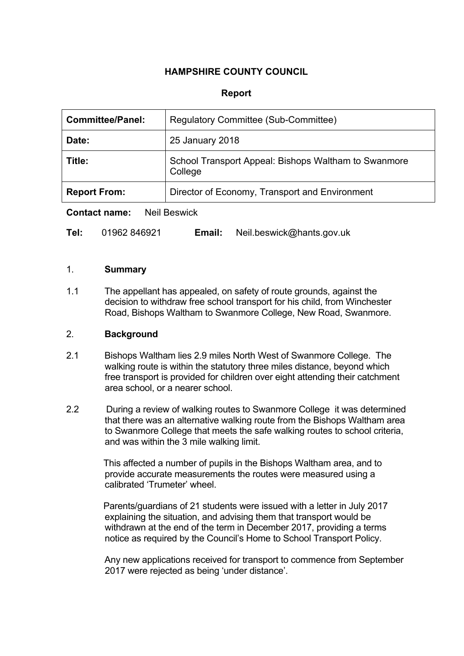## **HAMPSHIRE COUNTY COUNCIL**

### **Report**

| <b>Committee/Panel:</b> | Regulatory Committee (Sub-Committee)                            |  |
|-------------------------|-----------------------------------------------------------------|--|
| Date:                   | 25 January 2018                                                 |  |
| Title:                  | School Transport Appeal: Bishops Waltham to Swanmore<br>College |  |
| <b>Report From:</b>     | Director of Economy, Transport and Environment                  |  |

**Contact name:** Neil Beswick

| Tel: | 01962 846921 | Email: | Neil.beswick@hants.gov.uk |
|------|--------------|--------|---------------------------|
|------|--------------|--------|---------------------------|

#### 1. **Summary**

1.1 The appellant has appealed, on safety of route grounds, against the decision to withdraw free school transport for his child, from Winchester Road, Bishops Waltham to Swanmore College, New Road, Swanmore.

### 2. **Background**

- 2.1 Bishops Waltham lies 2.9 miles North West of Swanmore College. The walking route is within the statutory three miles distance, beyond which free transport is provided for children over eight attending their catchment area school, or a nearer school.
- 2.2 During a review of walking routes to Swanmore College it was determined that there was an alternative walking route from the Bishops Waltham area to Swanmore College that meets the safe walking routes to school criteria, and was within the 3 mile walking limit.

This affected a number of pupils in the Bishops Waltham area, and to provide accurate measurements the routes were measured using a calibrated 'Trumeter' wheel.

Parents/guardians of 21 students were issued with a letter in July 2017 explaining the situation, and advising them that transport would be withdrawn at the end of the term in December 2017, providing a terms notice as required by the Council's Home to School Transport Policy.

Any new applications received for transport to commence from September 2017 were rejected as being 'under distance'.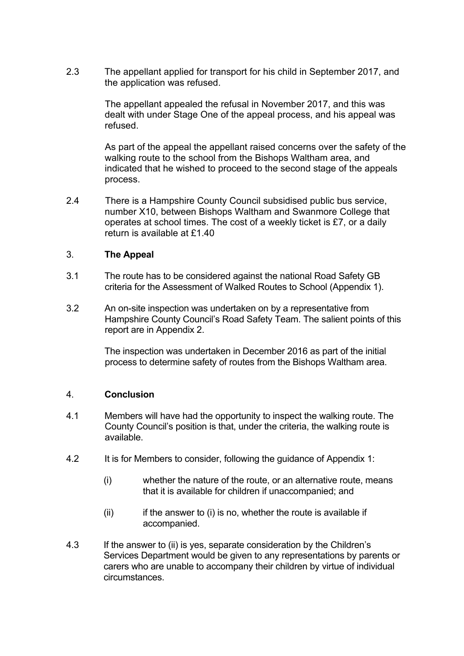2.3 The appellant applied for transport for his child in September 2017, and the application was refused.

> The appellant appealed the refusal in November 2017, and this was dealt with under Stage One of the appeal process, and his appeal was refused.

As part of the appeal the appellant raised concerns over the safety of the walking route to the school from the Bishops Waltham area, and indicated that he wished to proceed to the second stage of the appeals process.

2.4 There is a Hampshire County Council subsidised public bus service, number X10, between Bishops Waltham and Swanmore College that operates at school times. The cost of a weekly ticket is £7, or a daily return is available at £1.40

### 3. **The Appeal**

- 3.1 The route has to be considered against the national Road Safety GB criteria for the Assessment of Walked Routes to School (Appendix 1).
- 3.2 An on-site inspection was undertaken on by a representative from Hampshire County Council's Road Safety Team. The salient points of this report are in Appendix 2.

The inspection was undertaken in December 2016 as part of the initial process to determine safety of routes from the Bishops Waltham area.

### 4. **Conclusion**

- 4.1 Members will have had the opportunity to inspect the walking route. The County Council's position is that, under the criteria, the walking route is available.
- 4.2 It is for Members to consider, following the guidance of Appendix 1:
	- (i) whether the nature of the route, or an alternative route, means that it is available for children if unaccompanied; and
	- $(ii)$  if the answer to  $(i)$  is no, whether the route is available if accompanied.
- 4.3 If the answer to (ii) is yes, separate consideration by the Children's Services Department would be given to any representations by parents or carers who are unable to accompany their children by virtue of individual circumstances.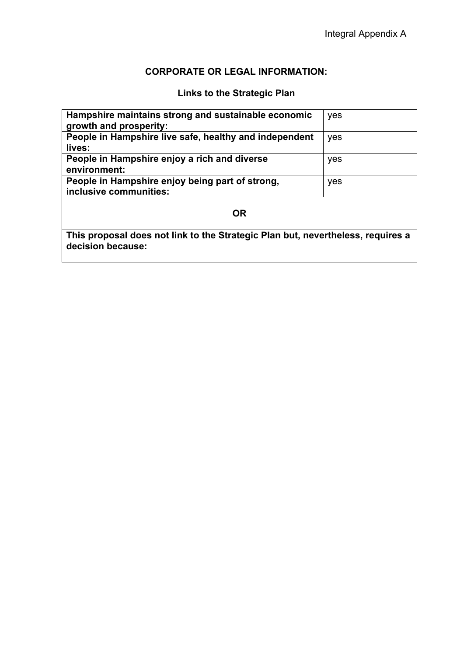# **CORPORATE OR LEGAL INFORMATION:**

# **Links to the Strategic Plan**

| yes                                                                                                  |  |  |  |  |
|------------------------------------------------------------------------------------------------------|--|--|--|--|
| yes                                                                                                  |  |  |  |  |
|                                                                                                      |  |  |  |  |
| yes                                                                                                  |  |  |  |  |
|                                                                                                      |  |  |  |  |
|                                                                                                      |  |  |  |  |
| yes                                                                                                  |  |  |  |  |
|                                                                                                      |  |  |  |  |
|                                                                                                      |  |  |  |  |
| <b>OR</b>                                                                                            |  |  |  |  |
| This proposal does not link to the Strategic Plan but, nevertheless, requires a<br>decision because: |  |  |  |  |
|                                                                                                      |  |  |  |  |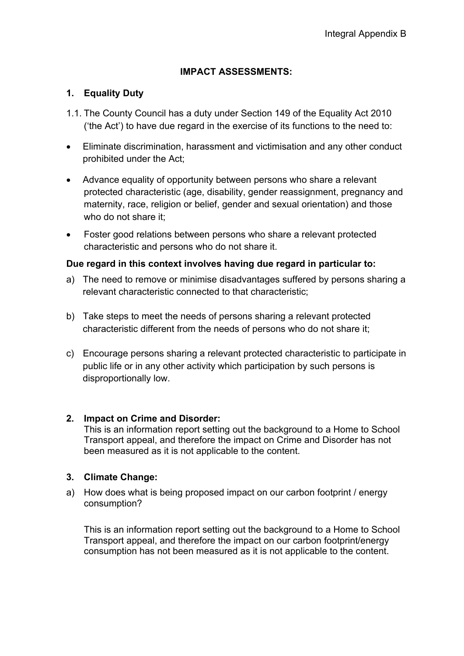## **IMPACT ASSESSMENTS:**

## **1. Equality Duty**

- 1.1. The County Council has a duty under Section 149 of the Equality Act 2010 ('the Act') to have due regard in the exercise of its functions to the need to:
- Eliminate discrimination, harassment and victimisation and any other conduct prohibited under the Act;
- Advance equality of opportunity between persons who share a relevant protected characteristic (age, disability, gender reassignment, pregnancy and maternity, race, religion or belief, gender and sexual orientation) and those who do not share it;
- Foster good relations between persons who share a relevant protected characteristic and persons who do not share it.

### **Due regard in this context involves having due regard in particular to:**

- a) The need to remove or minimise disadvantages suffered by persons sharing a relevant characteristic connected to that characteristic;
- b) Take steps to meet the needs of persons sharing a relevant protected characteristic different from the needs of persons who do not share it;
- c) Encourage persons sharing a relevant protected characteristic to participate in public life or in any other activity which participation by such persons is disproportionally low.

## **2. Impact on Crime and Disorder:**

This is an information report setting out the background to a Home to School Transport appeal, and therefore the impact on Crime and Disorder has not been measured as it is not applicable to the content.

## **3. Climate Change:**

a) How does what is being proposed impact on our carbon footprint / energy consumption?

This is an information report setting out the background to a Home to School Transport appeal, and therefore the impact on our carbon footprint/energy consumption has not been measured as it is not applicable to the content.